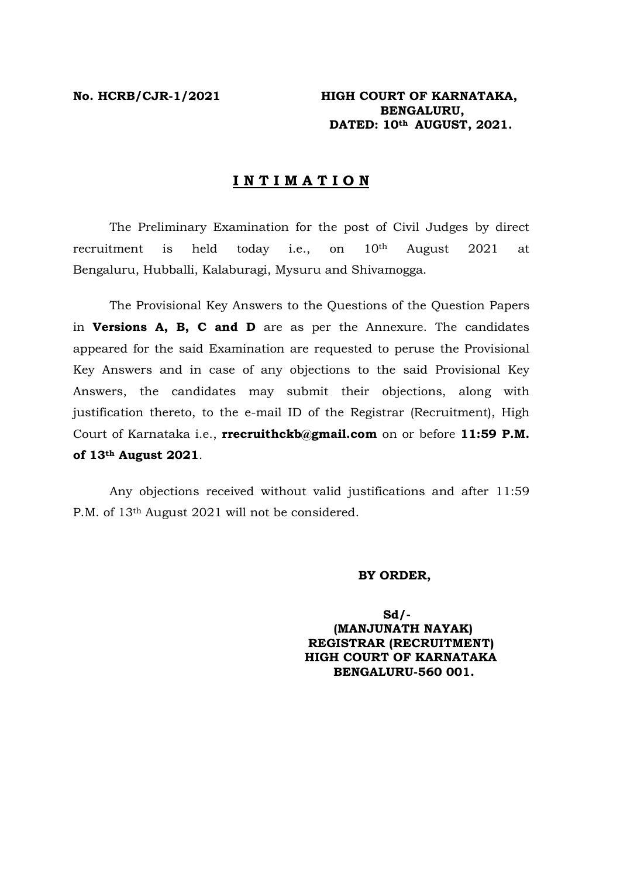**No. HCRB/CJR-1/2021 HIGH COURT OF KARNATAKA, BENGALURU, DATED: 10th AUGUST, 2021.** 

## **I N T I M A T I O N**

The Preliminary Examination for the post of Civil Judges by direct recruitment is held today i.e., on  $10<sup>th</sup>$  August 2021 at Bengaluru, Hubballi, Kalaburagi, Mysuru and Shivamogga.

The Provisional Key Answers to the Questions of the Question Papers in **Versions A, B, C and D** are as per the Annexure. The candidates appeared for the said Examination are requested to peruse the Provisional Key Answers and in case of any objections to the said Provisional Key Answers, the candidates may submit their objections, along with justification thereto, to the e-mail ID of the Registrar (Recruitment), High Court of Karnataka i.e., **rrecruithckb@gmail.com** on or before **11:59 P.M. of 13th August 2021**.

Any objections received without valid justifications and after 11:59 P.M. of 13th August 2021 will not be considered.

## **BY ORDER,**

 **Sd/- (MANJUNATH NAYAK) REGISTRAR (RECRUITMENT) HIGH COURT OF KARNATAKA BENGALURU-560 001.**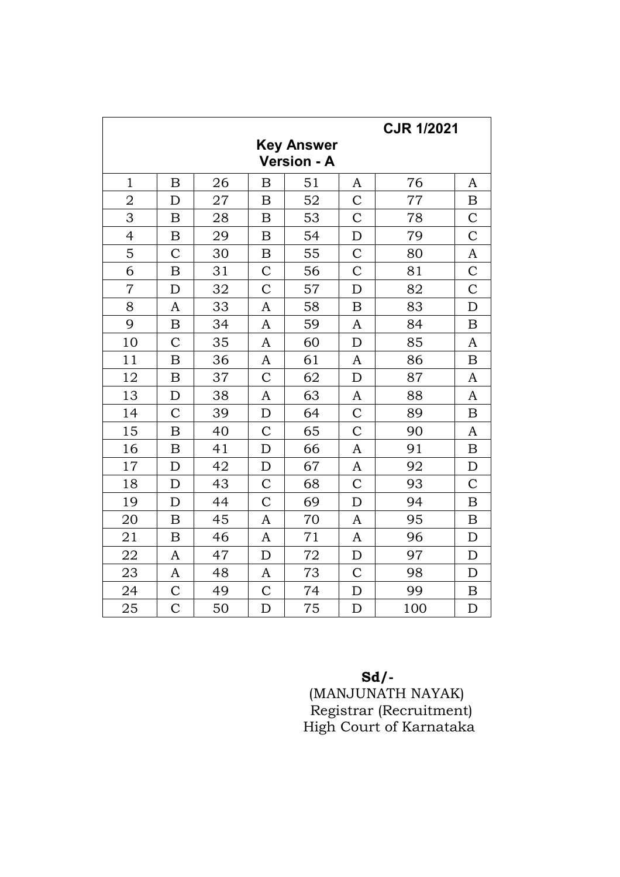| <b>CJR 1/2021</b>                       |                  |    |                  |    |                |     |                  |  |  |
|-----------------------------------------|------------------|----|------------------|----|----------------|-----|------------------|--|--|
| <b>Key Answer</b><br><b>Version - A</b> |                  |    |                  |    |                |     |                  |  |  |
| $\mathbf{1}$                            | $\mathbf B$      | 26 | $\mathbf B$      | 51 | A              | 76  | A                |  |  |
| $\overline{2}$                          | D                | 27 | B                | 52 | $\overline{C}$ | 77  | $\boldsymbol{B}$ |  |  |
| 3                                       | B                | 28 | B                | 53 | $\overline{C}$ | 78  | $\mathcal{C}$    |  |  |
| 4                                       | $\boldsymbol{B}$ | 29 | $\boldsymbol{B}$ | 54 | $\mathbf D$    | 79  | $\overline{C}$   |  |  |
| 5                                       | $\mathcal{C}$    | 30 | $\boldsymbol{B}$ | 55 | $\overline{C}$ | 80  | A                |  |  |
| 6                                       | $\boldsymbol{B}$ | 31 | $\mathcal{C}$    | 56 | $\overline{C}$ | 81  | $\mathcal{C}$    |  |  |
| $\overline{7}$                          | D                | 32 | $\overline{C}$   | 57 | D              | 82  | $\overline{C}$   |  |  |
| 8                                       | A                | 33 | A                | 58 | $\mathbf B$    | 83  | D                |  |  |
| 9                                       | $\boldsymbol{B}$ | 34 | A                | 59 | A              | 84  | $\boldsymbol{B}$ |  |  |
| 10                                      | $\mathcal{C}$    | 35 | A                | 60 | D              | 85  | A                |  |  |
| 11                                      | $\mathbf B$      | 36 | A                | 61 | A              | 86  | $\overline{B}$   |  |  |
| 12                                      | B                | 37 | $\mathcal{C}$    | 62 | $\mathbf D$    | 87  | A                |  |  |
| 13                                      | D                | 38 | A                | 63 | A              | 88  | A                |  |  |
| 14                                      | $\overline{C}$   | 39 | $\mathbf D$      | 64 | $\overline{C}$ | 89  | $\mathbf B$      |  |  |
| 15                                      | B                | 40 | $\mathcal{C}$    | 65 | $\mathcal{C}$  | 90  | A                |  |  |
| 16                                      | B                | 41 | $\mathbf D$      | 66 | A              | 91  | $\boldsymbol{B}$ |  |  |
| 17                                      | D                | 42 | $\mathbf D$      | 67 | A              | 92  | $\mathbf D$      |  |  |
| 18                                      | D                | 43 | $\mathcal{C}$    | 68 | $\overline{C}$ | 93  | $\mathsf{C}$     |  |  |
| 19                                      | D                | 44 | $\overline{C}$   | 69 | D              | 94  | $\overline{B}$   |  |  |
| 20                                      | $\mathbf B$      | 45 | $\mathbf{A}$     | 70 | A              | 95  | $\boldsymbol{B}$ |  |  |
| 21                                      | $\boldsymbol{B}$ | 46 | A                | 71 | A              | 96  | $\mathbf D$      |  |  |
| 22                                      | $\mathbf{A}$     | 47 | $\mathbf D$      | 72 | $\mathbf D$    | 97  | $\mathbf D$      |  |  |
| 23                                      | A                | 48 | A                | 73 | $\overline{C}$ | 98  | D                |  |  |
| 24                                      | $\mathcal{C}$    | 49 | $\overline{C}$   | 74 | D              | 99  | $\boldsymbol{B}$ |  |  |
| 25                                      | $\overline{C}$   | 50 | $\mathbf D$      | 75 | D              | 100 | D                |  |  |

**Sd/-**  $S_d$ 

 (MANJUNATH NAYAK) Registrar (Recruitment) High Court of Karnataka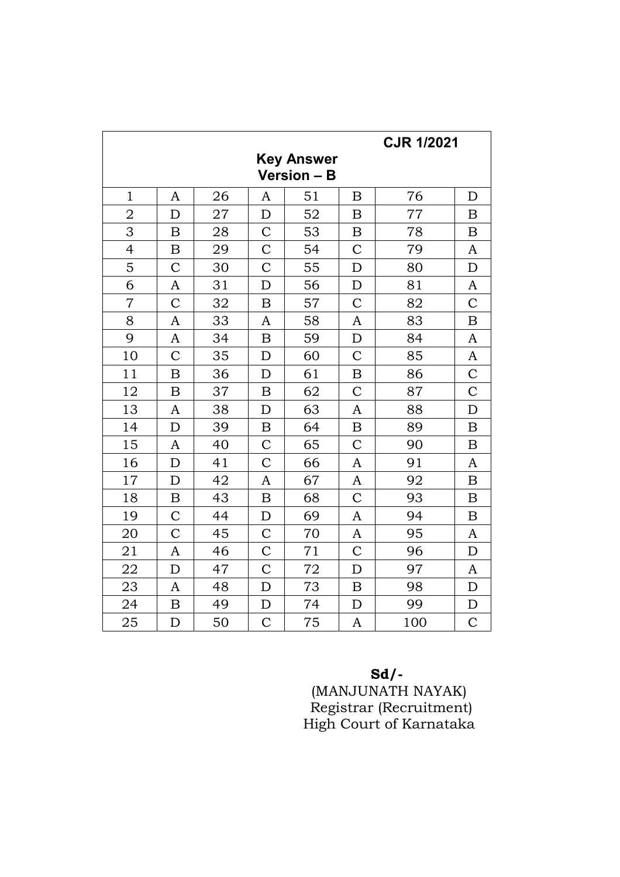| <b>CJR 1/2021</b>  |                  |    |                  |    |                  |     |                  |  |  |  |
|--------------------|------------------|----|------------------|----|------------------|-----|------------------|--|--|--|
| <b>Key Answer</b>  |                  |    |                  |    |                  |     |                  |  |  |  |
| <b>Version - B</b> |                  |    |                  |    |                  |     |                  |  |  |  |
| $\mathbf{1}$       | A                | 26 | $\mathbf{A}$     | 51 | B                | 76  | D                |  |  |  |
| $\overline{2}$     | D                | 27 | $\mathbf D$      | 52 | B                | 77  | $\boldsymbol{B}$ |  |  |  |
| 3                  | B                | 28 | $\overline{C}$   | 53 | $\boldsymbol{B}$ | 78  | $\boldsymbol{B}$ |  |  |  |
| $\overline{4}$     | B                | 29 | $\mathcal{C}$    | 54 | $\mathcal{C}$    | 79  | A                |  |  |  |
| 5                  | $\mathcal{C}$    | 30 | $\overline{C}$   | 55 | D                | 80  | D                |  |  |  |
| 6                  | A                | 31 | $\mathbf D$      | 56 | $\mathbf D$      | 81  | $\mathbf{A}$     |  |  |  |
| $\overline{7}$     | $\overline{C}$   | 32 | $\boldsymbol{B}$ | 57 | $\overline{C}$   | 82  | $\mathcal{C}$    |  |  |  |
| 8                  | A                | 33 | A                | 58 | A                | 83  | $\boldsymbol{B}$ |  |  |  |
| 9                  | A                | 34 | $\boldsymbol{B}$ | 59 | D                | 84  | A                |  |  |  |
| 10                 | $\overline{C}$   | 35 | D                | 60 | $\overline{C}$   | 85  | A                |  |  |  |
| 11                 | $\boldsymbol{B}$ | 36 | D                | 61 | $\overline{B}$   | 86  | $\overline{C}$   |  |  |  |
| 12                 | $\boldsymbol{B}$ | 37 | $\boldsymbol{B}$ | 62 | $\mathcal{C}$    | 87  | $\mathcal{C}$    |  |  |  |
| 13                 | A                | 38 | $\mathbf D$      | 63 | A                | 88  | D                |  |  |  |
| 14                 | D                | 39 | $\boldsymbol{B}$ | 64 | B                | 89  | $\bf{B}$         |  |  |  |
| 15                 | A                | 40 | $\mathcal{C}$    | 65 | $\overline{C}$   | 90  | $\boldsymbol{B}$ |  |  |  |
| 16                 | D                | 41 | $\mathcal{C}$    | 66 | A                | 91  | A                |  |  |  |
| 17                 | D                | 42 | $\mathbf{A}$     | 67 | A                | 92  | $\boldsymbol{B}$ |  |  |  |
| 18                 | $\boldsymbol{B}$ | 43 | $\boldsymbol{B}$ | 68 | $\overline{C}$   | 93  | $\boldsymbol{B}$ |  |  |  |
| 19                 | $\overline{C}$   | 44 | D                | 69 | A                | 94  | $\boldsymbol{B}$ |  |  |  |
| 20                 | $\overline{C}$   | 45 | $\mathcal{C}$    | 70 | A                | 95  | A                |  |  |  |
| 21                 | A                | 46 | $\mathcal{C}$    | 71 | $\overline{C}$   | 96  | $\mathbf D$      |  |  |  |
| 22                 | D                | 47 | $\mathcal{C}$    | 72 | D                | 97  | $\mathbf{A}$     |  |  |  |
| 23                 | A                | 48 | D                | 73 | B                | 98  | $\mathbf D$      |  |  |  |
| 24                 | B                | 49 | $\mathbf D$      | 74 | D                | 99  | D                |  |  |  |
| 25                 | D                | 50 | $\mathcal{C}$    | 75 | A                | 100 | $\mathcal{C}$    |  |  |  |

Sd/-<br>(MANJUNATH NAYAK)<br>Registrar (Recruitment)<br>High Court of Karnataka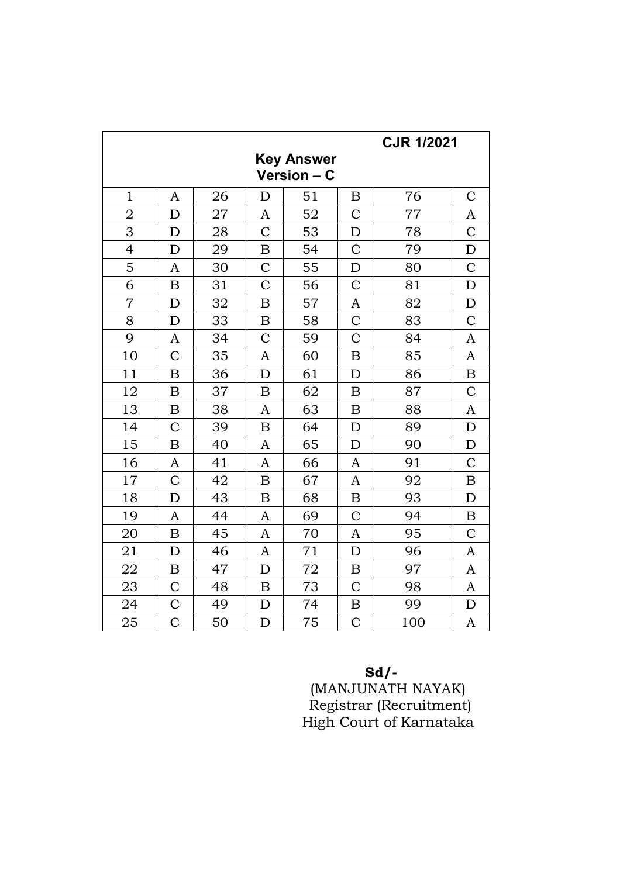| <b>CJR 1/2021</b>                |                  |    |                  |    |                  |     |                  |  |  |
|----------------------------------|------------------|----|------------------|----|------------------|-----|------------------|--|--|
| <b>Key Answer</b><br>Version - C |                  |    |                  |    |                  |     |                  |  |  |
| $\mathbf{1}$                     | A                | 26 | D                | 51 | $\mathbf B$      | 76  | $\overline{C}$   |  |  |
| $\overline{2}$                   | D                | 27 | A                | 52 | $\mathcal{C}$    | 77  | A                |  |  |
| 3                                | D                | 28 | $\overline{C}$   | 53 | D                | 78  | $\mathcal{C}$    |  |  |
| $\overline{4}$                   | D                | 29 | $\boldsymbol{B}$ | 54 | $\overline{C}$   | 79  | $\mathbf D$      |  |  |
| 5                                | A                | 30 | $\mathcal{C}$    | 55 | D                | 80  | $\mathcal{C}$    |  |  |
| 6                                | $\mathbf B$      | 31 | $\overline{C}$   | 56 | $\overline{C}$   | 81  | D                |  |  |
| $\overline{7}$                   | D                | 32 | $\boldsymbol{B}$ | 57 | $\mathbf{A}$     | 82  | D                |  |  |
| 8                                | D                | 33 | $\boldsymbol{B}$ | 58 | $\mathcal{C}$    | 83  | $\mathcal{C}$    |  |  |
| 9                                | A                | 34 | $\overline{C}$   | 59 | $\overline{C}$   | 84  | A                |  |  |
| 10                               | $\mathcal{C}$    | 35 | A                | 60 | $\mathbf B$      | 85  | A                |  |  |
| 11                               | $\boldsymbol{B}$ | 36 | D                | 61 | D                | 86  | $\overline{B}$   |  |  |
| 12                               | B                | 37 | $\boldsymbol{B}$ | 62 | B                | 87  | $\mathsf{C}$     |  |  |
| 13                               | B                | 38 | A                | 63 | $\boldsymbol{B}$ | 88  | A                |  |  |
| 14                               | $\overline{C}$   | 39 | $\mathbf B$      | 64 | D                | 89  | D                |  |  |
| 15                               | $\boldsymbol{B}$ | 40 | A                | 65 | D                | 90  | D                |  |  |
| 16                               | A                | 41 | A                | 66 | A                | 91  | $\overline{C}$   |  |  |
| 17                               | $\mathcal{C}$    | 42 | $\boldsymbol{B}$ | 67 | $\mathbf{A}$     | 92  | $\boldsymbol{B}$ |  |  |
| 18                               | $\mathbf D$      | 43 | $\boldsymbol{B}$ | 68 | $\boldsymbol{B}$ | 93  | $\mathbf D$      |  |  |
| 19                               | A                | 44 | A                | 69 | $\overline{C}$   | 94  | $\boldsymbol{B}$ |  |  |
| 20                               | B                | 45 | A                | 70 | A                | 95  | $\overline{C}$   |  |  |
| 21                               | D                | 46 | A                | 71 | D                | 96  | A                |  |  |
| 22                               | B                | 47 | D                | 72 | $\boldsymbol{B}$ | 97  | A                |  |  |
| 23                               | $\mathcal{C}$    | 48 | B                | 73 | $\overline{C}$   | 98  | A                |  |  |
| 24                               | $\overline{C}$   | 49 | D                | 74 | $\boldsymbol{B}$ | 99  | D                |  |  |
| 25                               | $\mathcal{C}$    | 50 | $\mathbf D$      | 75 | $\overline{C}$   | 100 | A                |  |  |

 $\mathbf{Sd}/\mathbf{-}$  (MANJUNATH NAYAK) Registrar (Recruitment)<br>High Court of Karnataka